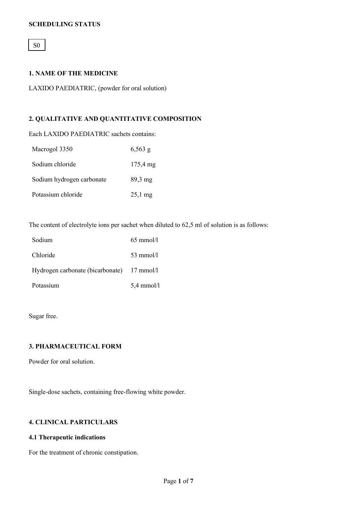# **SCHEDULING STATUS**

# S0

# **1. NAME OF THE MEDICINE**

LAXIDO PAEDIATRIC, (powder for oral solution)

# **2. QUALITATIVE AND QUANTITATIVE COMPOSITION**

Each LAXIDO PAEDIATRIC sachets contains:

| Macrogol 3350             | $6,563$ g             |
|---------------------------|-----------------------|
| Sodium chloride           | $175,4 \,\mathrm{mg}$ |
| Sodium hydrogen carbonate | $89.3 \text{ mg}$     |
| Potassium chloride        | $25,1$ mg             |

The content of electrolyte ions per sachet when diluted to 62,5 ml of solution is as follows:

| Sodium                                     | $65 \text{ mmol/l}$ |
|--------------------------------------------|---------------------|
| Chloride                                   | $53 \text{ mmol/l}$ |
| Hydrogen carbonate (bicarbonate) 17 mmol/l |                     |
| Potassium                                  | $5,4$ mmol/l        |

Sugar free.

# **3. PHARMACEUTICAL FORM**

Powder for oral solution.

Single-dose sachets, containing free-flowing white powder.

# **4. CLINICAL PARTICULARS**

# **4.1 Therapeutic indications**

For the treatment of chronic constipation.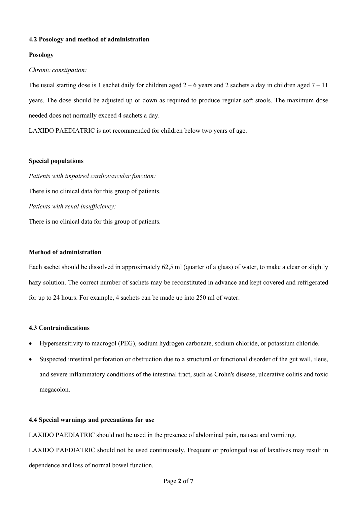# **4.2 Posology and method of administration**

# **Posology**

# *Chronic constipation:*

The usual starting dose is 1 sachet daily for children aged  $2 - 6$  years and 2 sachets a day in children aged  $7 - 11$ years. The dose should be adjusted up or down as required to produce regular soft stools. The maximum dose needed does not normally exceed 4 sachets a day.

LAXIDO PAEDIATRIC is not recommended for children below two years of age.

# **Special populations**

*Patients with impaired cardiovascular function:* There is no clinical data for this group of patients. *Patients with renal insufficiency:* There is no clinical data for this group of patients.

# **Method of administration**

Each sachet should be dissolved in approximately 62,5 ml (quarter of a glass) of water, to make a clear or slightly hazy solution. The correct number of sachets may be reconstituted in advance and kept covered and refrigerated for up to 24 hours. For example, 4 sachets can be made up into 250 ml of water.

# **4.3 Contraindications**

- Hypersensitivity to macrogol (PEG), sodium hydrogen carbonate, sodium chloride, or potassium chloride.
- Suspected intestinal perforation or obstruction due to a structural or functional disorder of the gut wall, ileus, and severe inflammatory conditions of the intestinal tract, such as Crohn's disease, ulcerative colitis and toxic megacolon.

# **4.4 Special warnings and precautions for use**

LAXIDO PAEDIATRIC should not be used in the presence of abdominal pain, nausea and vomiting.

LAXIDO PAEDIATRIC should not be used continuously. Frequent or prolonged use of laxatives may result in dependence and loss of normal bowel function.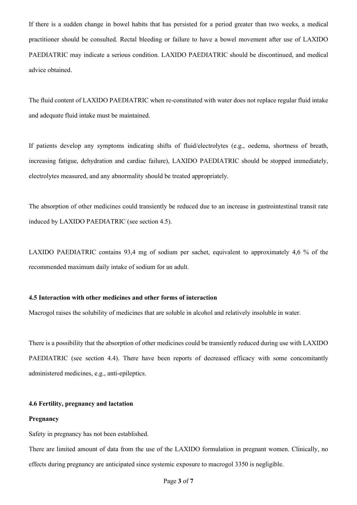If there is a sudden change in bowel habits that has persisted for a period greater than two weeks, a medical practitioner should be consulted. Rectal bleeding or failure to have a bowel movement after use of LAXIDO PAEDIATRIC may indicate a serious condition. LAXIDO PAEDIATRIC should be discontinued, and medical advice obtained.

The fluid content of LAXIDO PAEDIATRIC when re-constituted with water does not replace regular fluid intake and adequate fluid intake must be maintained.

If patients develop any symptoms indicating shifts of fluid/electrolytes (e.g., oedema, shortness of breath, increasing fatigue, dehydration and cardiac failure), LAXIDO PAEDIATRIC should be stopped immediately, electrolytes measured, and any abnormality should be treated appropriately.

The absorption of other medicines could transiently be reduced due to an increase in gastrointestinal transit rate induced by LAXIDO PAEDIATRIC (see section 4.5).

LAXIDO PAEDIATRIC contains 93,4 mg of sodium per sachet, equivalent to approximately 4,6 % of the recommended maximum daily intake of sodium for an adult.

#### **4.5 Interaction with other medicines and other forms of interaction**

Macrogol raises the solubility of medicines that are soluble in alcohol and relatively insoluble in water.

There is a possibility that the absorption of other medicines could be transiently reduced during use with LAXIDO PAEDIATRIC (see section 4.4). There have been reports of decreased efficacy with some concomitantly administered medicines, e.g., anti-epileptics.

#### **4.6 Fertility, pregnancy and lactation**

#### **Pregnancy**

Safety in pregnancy has not been established.

There are limited amount of data from the use of the LAXIDO formulation in pregnant women. Clinically, no effects during pregnancy are anticipated since systemic exposure to macrogol 3350 is negligible.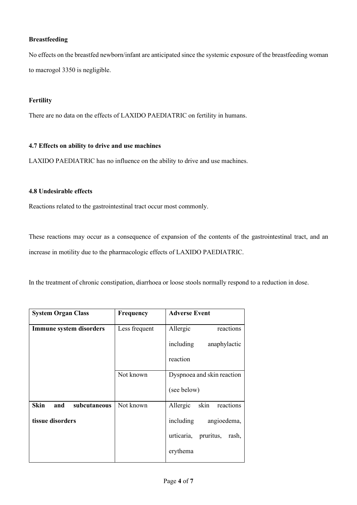# **Breastfeeding**

No effects on the breastfed newborn/infant are anticipated since the systemic exposure of the breastfeeding woman to macrogol 3350 is negligible.

#### **Fertility**

There are no data on the effects of LAXIDO PAEDIATRIC on fertility in humans.

#### **4.7 Effects on ability to drive and use machines**

LAXIDO PAEDIATRIC has no influence on the ability to drive and use machines.

# **4.8 Undesirable effects**

Reactions related to the gastrointestinal tract occur most commonly.

These reactions may occur as a consequence of expansion of the contents of the gastrointestinal tract, and an increase in motility due to the pharmacologic effects of LAXIDO PAEDIATRIC.

In the treatment of chronic constipation, diarrhoea or loose stools normally respond to a reduction in dose.

| <b>System Organ Class</b>          | Frequency     | <b>Adverse Event</b>             |
|------------------------------------|---------------|----------------------------------|
| Immune system disorders            | Less frequent | Allergic<br>reactions            |
|                                    |               | including<br>anaphylactic        |
|                                    |               | reaction                         |
|                                    | Not known     | Dyspnoea and skin reaction       |
|                                    |               | (see below)                      |
| <b>Skin</b><br>and<br>subcutaneous | Not known     | skin<br>Allergic<br>reactions    |
| tissue disorders                   |               | including<br>angioedema,         |
|                                    |               | pruritus,<br>urticaria,<br>rash, |
|                                    |               | erythema                         |
|                                    |               |                                  |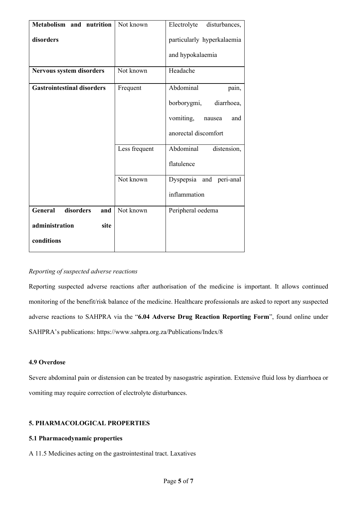| Metabolism and nutrition          | Not known     | Electrolyte<br>disturbances, |
|-----------------------------------|---------------|------------------------------|
| disorders                         |               | particularly hyperkalaemia   |
|                                   |               | and hypokalaemia             |
| <b>Nervous system disorders</b>   | Not known     | Headache                     |
| <b>Gastrointestinal disorders</b> | Frequent      | Abdominal<br>pain,           |
|                                   |               | borborygmi,<br>diarrhoea,    |
|                                   |               | vomiting,<br>and<br>nausea   |
|                                   |               | anorectal discomfort         |
|                                   | Less frequent | Abdominal<br>distension,     |
|                                   |               | flatulence                   |
|                                   | Not known     | Dyspepsia and peri-anal      |
|                                   |               | inflammation                 |
| General<br>disorders<br>and       | Not known     | Peripheral oedema            |
| administration<br>site            |               |                              |
| conditions                        |               |                              |

# *Reporting of suspected adverse reactions*

Reporting suspected adverse reactions after authorisation of the medicine is important. It allows continued monitoring of the benefit/risk balance of the medicine. Healthcare professionals are asked to report any suspected adverse reactions to SAHPRA via the "**6.04 Adverse Drug Reaction Reporting Form**", found online under SAHPRA's publications: https://www.sahpra.org.za/Publications/Index/8

# **4.9 Overdose**

Severe abdominal pain or distension can be treated by nasogastric aspiration. Extensive fluid loss by diarrhoea or vomiting may require correction of electrolyte disturbances.

# **5. PHARMACOLOGICAL PROPERTIES**

# **5.1 Pharmacodynamic properties**

A 11.5 Medicines acting on the gastrointestinal tract. Laxatives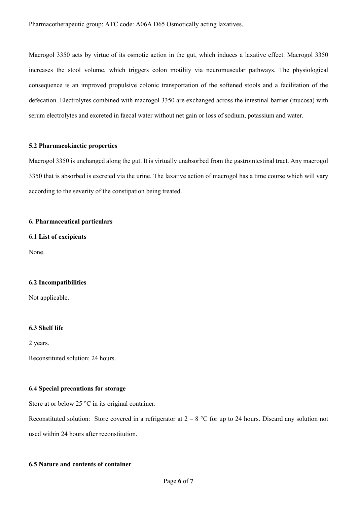Macrogol 3350 acts by virtue of its osmotic action in the gut, which induces a laxative effect. Macrogol 3350 increases the stool volume, which triggers colon motility via neuromuscular pathways. The physiological consequence is an improved propulsive colonic transportation of the softened stools and a facilitation of the defecation. Electrolytes combined with macrogol 3350 are exchanged across the intestinal barrier (mucosa) with serum electrolytes and excreted in faecal water without net gain or loss of sodium, potassium and water.

#### **5.2 Pharmacokinetic properties**

Macrogol 3350 is unchanged along the gut. It is virtually unabsorbed from the gastrointestinal tract. Any macrogol 3350 that is absorbed is excreted via the urine. The laxative action of macrogol has a time course which will vary according to the severity of the constipation being treated.

# **6. Pharmaceutical particulars**

**6.1 List of excipients**

None.

#### **6.2 Incompatibilities**

Not applicable.

#### **6.3 Shelf life**

2 years.

Reconstituted solution: 24 hours.

#### **6.4 Special precautions for storage**

Store at or below 25 °C in its original container.

Reconstituted solution: Store covered in a refrigerator at  $2 - 8$  °C for up to 24 hours. Discard any solution not used within 24 hours after reconstitution.

#### **6.5 Nature and contents of container**